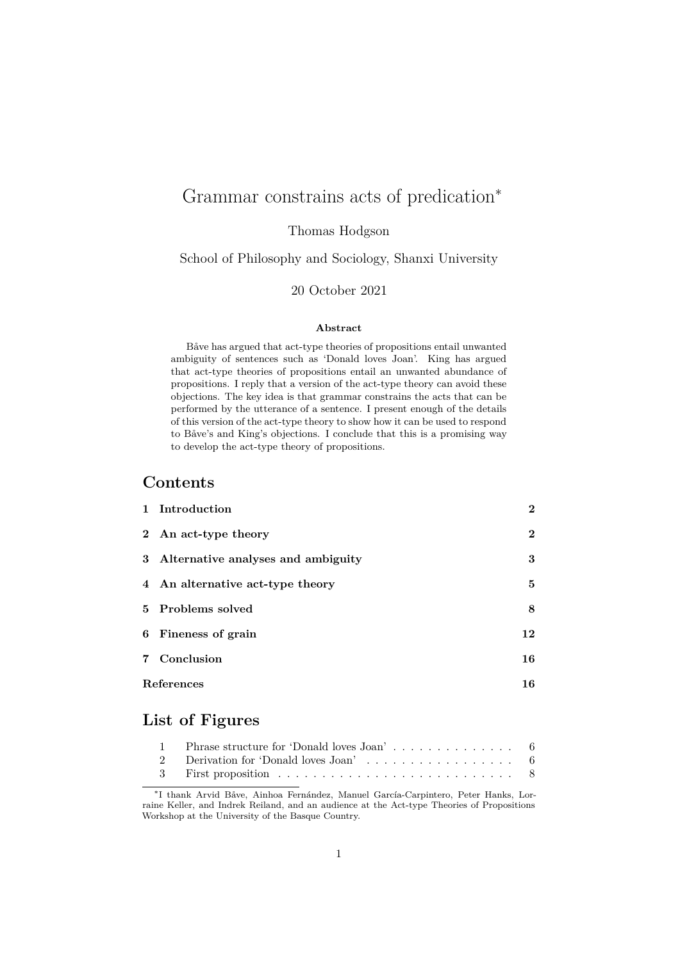# Grammar constrains acts of predication<sup>\*</sup>

Thomas Hodgson

School of Philosophy and Sociology, Shanxi University

#### 20 October 2021

#### **Abstract**

Båve has argued that act-type theories of propositions entail unwanted ambiguity of sentences such as 'Donald loves Joan'. King has argued that act-type theories of propositions entail an unwanted abundance of propositions. I reply that a version of the act-type theory can avoid these objections. The key idea is that grammar constrains the acts that can be performed by the utterance of a sentence. I present enough of the details of this version of the act-type theory to show how it can be used to respond to Båve's and King's objections. I conclude that this is a promising way to develop the act-type theory of propositions.

#### **Contents**

|                   | 1 Introduction                       | $\overline{2}$ |
|-------------------|--------------------------------------|----------------|
|                   | 2 An act-type theory                 | $\overline{2}$ |
|                   | 3 Alternative analyses and ambiguity | 3              |
|                   | 4 An alternative act-type theory     | 5              |
|                   | 5 Problems solved                    | 8              |
|                   | 6 Fineness of grain                  | 12             |
|                   | 7 Conclusion                         | 16             |
| <b>References</b> |                                      | 16             |

# **[List of Fig](#page-15-0)ures**

<sup>∗</sup> I thank Arvid Båve, Ainhoa Fernández, Manuel García-Carpintero, Peter Hanks, Lorrain[e Keller, and Indrek Reiland, and an audience at the](#page-5-0) Act-type Theories of Propositions Wor[kshop at the University of the Basque Country](#page-5-1).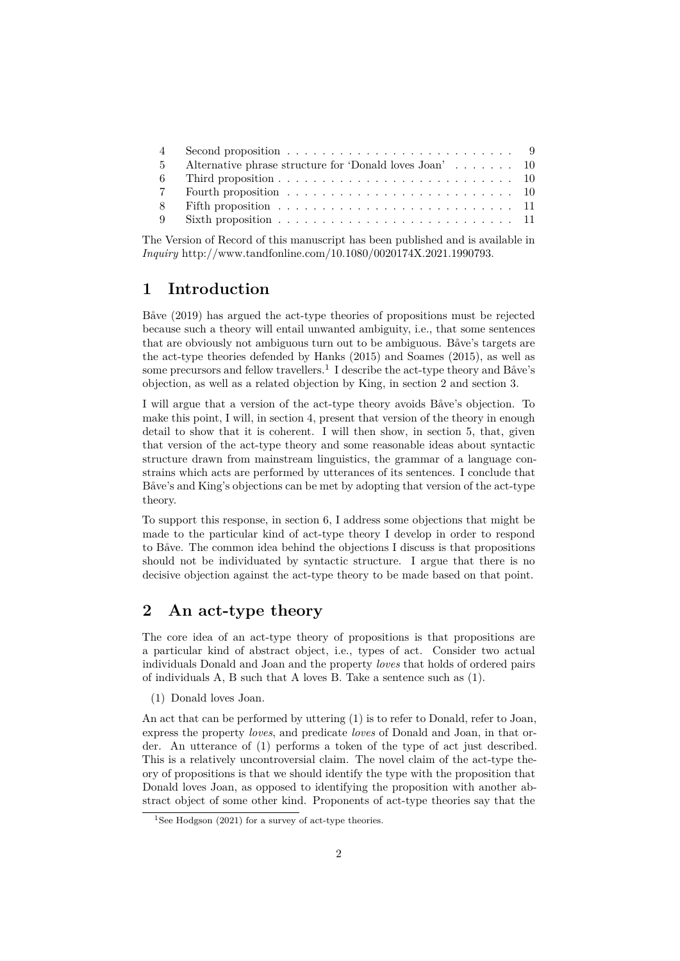| 5 Alternative phrase structure for 'Donald loves Joan'  10 |  |
|------------------------------------------------------------|--|
|                                                            |  |
|                                                            |  |
|                                                            |  |
|                                                            |  |

Th[e Version of Record of th](#page-9-1)is manuscript has been published and is available in *Inquiry* [http://www.tandfon](#page-9-2)line.com/10.1080/0020174X.2021.1990793.

## **1 [Introduction](#page-10-1)**

<span id="page-1-0"></span>Båve (2[019\) has argued the act-type theories of propositions must be](http://www.tandfonline.com/10.1080/0020174X.2021.1990793) rejected because such a theory will entail unwanted ambiguity, i.e., that some sentences that are obviously not ambiguous turn out to be ambiguous. Båve's targets are the act-type theories defended by Hanks (2015) and Soames (2015), as well as some [precur](#page-15-2)sors and fellow travellers.<sup>1</sup> I describe the act-type theory and Båve's objection, as well as a related objection by King, in section 2 and section 3.

I will argue that a version of the act-type theory avoids Båve's objection. To make this point, I will, in section 4, [pr](#page-1-2)esen[t that](#page-16-0) version of the [theor](#page-17-0)y in enough detail to show that it is coherent. I will then show, in section 5, that, given that version of the act-type theory and some reaso[nable idea](#page-1-1)s ab[out synta](#page-2-0)ctic structure drawn from mainstream linguistics, the grammar of a language constrains which acts are per[formed b](#page-4-0)y utterances of its sentences. I conclude that Båve's and King's objections can be met by adopting that [version of](#page-7-0) the act-type theory.

To support this response, in section 6, I address some objections that might be made to the particular kind of act-type theory I develop in order to respond to Båve. The common idea behind the objections I discuss is that propositions should not be individuated by syntactic structure. I argue that there is no decisive objection against th[e act-type](#page-11-0) theory to be made based on that point.

## **2 An act-type theory**

<span id="page-1-1"></span>The core idea of an act-type theory of propositions is that propositions are a particular kind of abstract object, i.e., types of act. Consider two actual individuals Donald and Joan and the property *loves* that holds of ordered pairs of individuals A, B such that A loves B. Take a sentence such as (1).

(1) Donald loves Joan.

An act that can be performed by uttering (1) is to refer to Donald, refer to Joan, express the property *loves*, and predicate *loves* of Donald and Joan, in that order. An utterance of (1) performs a token of the type of act just described. This is a relatively uncontroversial claim. The novel claim of the act-type theory of propositions is that we should identify the type with the proposition that Donald loves Joan, as opposed to identifying the proposition with another abstract object of some other kind. Proponents of act-type theories say that the

<span id="page-1-2"></span><sup>&</sup>lt;sup>1</sup>See Hodgson (2021) for a survey of act-type theories.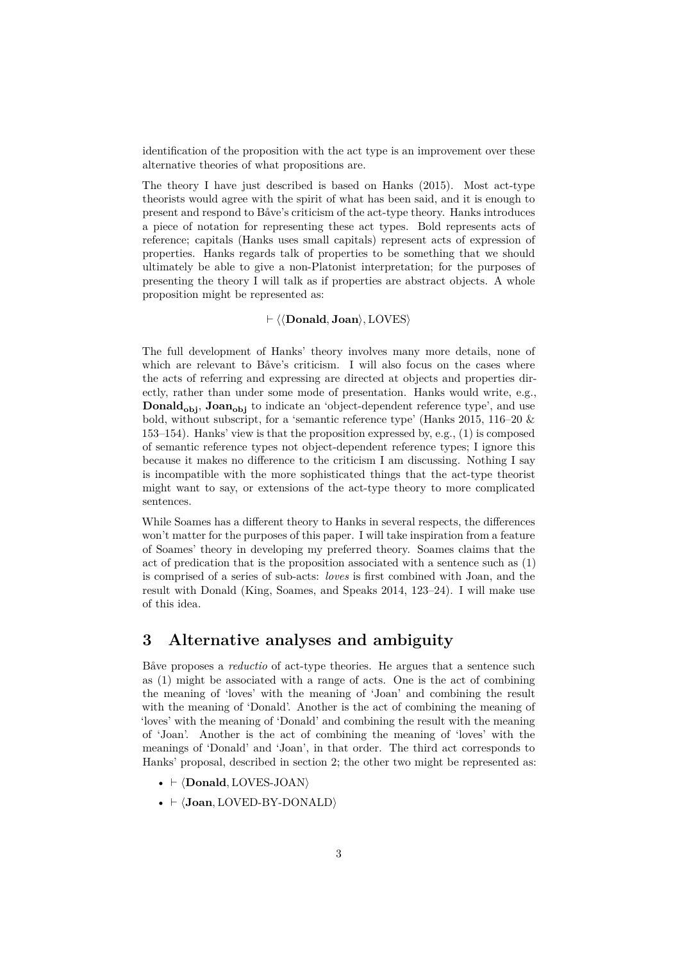identification of the proposition with the act type is an improvement over these alternative theories of what propositions are.

The theory I have just described is based on Hanks (2015). Most act-type theorists would agree with the spirit of what has been said, and it is enough to present and respond to Båve's criticism of the act-type theory. Hanks introduces a piece of notation for representing these act types. Bold represents acts of reference; capitals (Hanks uses small capitals) represen[t act](#page-16-0)s of expression of properties. Hanks regards talk of properties to be something that we should ultimately be able to give a non-Platonist interpretation; for the purposes of presenting the theory I will talk as if properties are abstract objects. A whole proposition might be represented as:

#### ⊢ ⟨⟨**Donald**, **Joan**⟩, LOVES⟩

The full development of Hanks' theory involves many more details, none of which are relevant to Båve's criticism. I will also focus on the cases where the acts of referring and expressing are directed at objects and properties directly, rather than under some mode of presentation. Hanks would write, e.g., **Donald<sub>obi</sub>**, **Joan**<sub>obi</sub> to indicate an 'object-dependent reference type', and use bold, without subscript, for a 'semantic reference type' (Hanks 2015, 116–20 & 153–154). Hanks' view is that the proposition expressed by, e.g., (1) is composed of semantic reference types not object-dependent reference types; I ignore this because it makes no difference to the criticism I am discussing. Nothing I say is incompatible with the more sophisticated things tha[t the act-type theor](#page-16-0)ist might want to say, or extensions of the act-type theory to more complicated sentences.

While Soames has a different theory to Hanks in several respects, the differences won't matter for the purposes of this paper. I will take inspiration from a feature of Soames' theory in developing my preferred theory. Soames claims that the act of predication that is the proposition associated with a sentence such as (1) is comprised of a series of sub-acts: *loves* is first combined with Joan, and the result with Donald (King, Soames, and Speaks 2014, 123–24). I will make use of this idea.

#### **3 Alternati[ve analyses and ambiguity](#page-16-1)**

<span id="page-2-0"></span>Båve proposes a *reductio* of act-type theories. He argues that a sentence such as (1) might be associated with a range of acts. One is the act of combining the meaning of 'loves' with the meaning of 'Joan' and combining the result with the meaning of 'Donald'. Another is the act of combining the meaning of 'loves' with the meaning of 'Donald' and combining the result with the meaning of 'Joan'. Another is the act of combining the meaning of 'loves' with the meanings of 'Donald' and 'Joan', in that order. The third act corresponds to Hanks' proposal, described in section 2; the other two might be represented as:

- ⊢ ⟨**Donald**, LOVES-JOAN⟩
- ⊢ ⟨**Joan**, LOVED-BY-DONALD⟩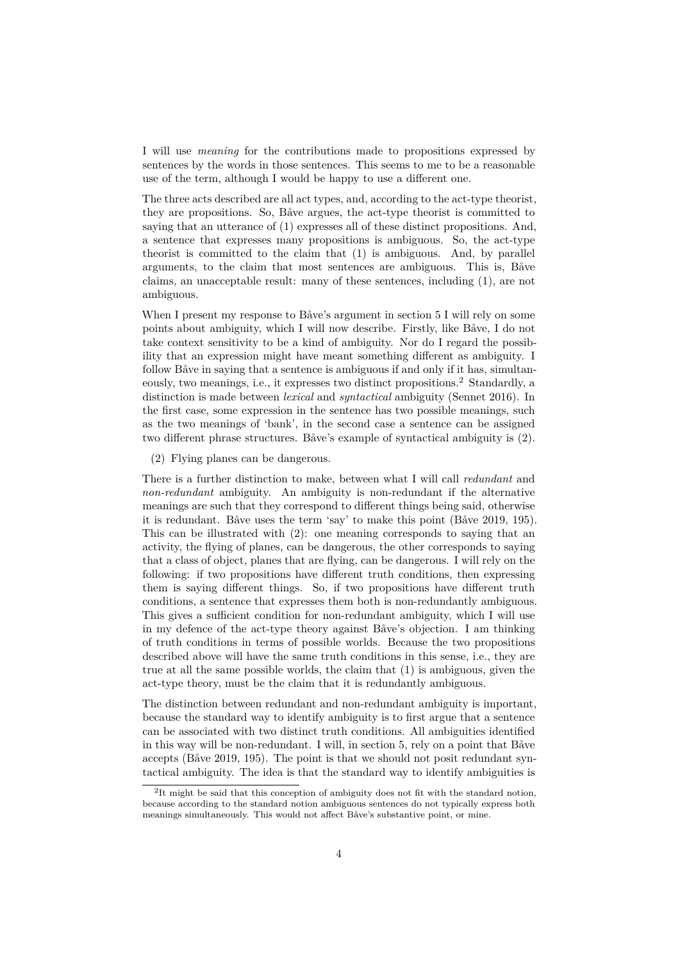I will use *meaning* for the contributions made to propositions expressed by sentences by the words in those sentences. This seems to me to be a reasonable use of the term, although I would be happy to use a different one.

The three acts described are all act types, and, according to the act-type theorist, they are propositions. So, Båve argues, the act-type theorist is committed to saying that an utterance of (1) expresses all of these distinct propositions. And, a sentence that expresses many propositions is ambiguous. So, the act-type theorist is committed to the claim that (1) is ambiguous. And, by parallel arguments, to the claim that most sentences are ambiguous. This is, Båve claims, an unacceptable result: many of these sentences, including (1), are not ambiguous.

When I present my response to Båve's argument in section 5 I will rely on some points about ambiguity, which I will now describe. Firstly, like Båve, I do not take context sensitivity to be a kind of ambiguity. Nor do I regard the possibility that an expression might have meant something different as ambiguity. I follow Båve in saying that a sentence is ambiguous i[f and only](#page-7-0) if it has, simultaneously, two meanings, i.e., it expresses two distinct propositions.<sup>2</sup> Standardly, a distinction is made between *lexical* and *syntactical* ambiguity (Sennet 2016). In the first case, some expression in the sentence has two possible meanings, such as the two meanings of 'bank', in the second case a sentence can be assigned two different phrase structures. Båve's example of syntactical a[m](#page-3-0)biguity is (2).

(2) Flying planes can be dangerous.

There is a further distinction to make, between what I will call *redundant* and *non-redundant* ambiguity. An ambiguity is non-redundant if the alternative meanings are such that they correspond to different things being said, otherwise it is redundant. Båve uses the term 'say' to make this point (Båve 2019, 195). This can be illustrated with (2): one meaning corresponds to saying that an activity, the flying of planes, can be dangerous, the other corresponds to saying that a class of object, planes that are flying, can be dangerous. I will rely on the following: if two propositions have different truth conditions, [then expressing](#page-15-2) them is saying different things. So, if two propositions have different truth conditions, a sentence that expresses them both is non-redundantly ambiguous. This gives a sufficient condition for non-redundant ambiguity, which I will use in my defence of the act-type theory against Båve's objection. I am thinking of truth conditions in terms of possible worlds. Because the two propositions described above will have the same truth conditions in this sense, i.e., they are true at all the same possible worlds, the claim that (1) is ambiguous, given the act-type theory, must be the claim that it is redundantly ambiguous.

The distinction between redundant and non-redundant ambiguity is important, because the standard way to identify ambiguity is to first argue that a sentence can be associated with two distinct truth conditions. All ambiguities identified in this way will be non-redundant. I will, in section 5, rely on a point that Båve accepts (Båve 2019, 195). The point is that we should not posit redundant syntactical ambiguity. The idea is that the standard way to identify ambiguities is

<span id="page-3-0"></span><sup>&</sup>lt;sup>2</sup>It might be said that this conception of ambiguity does not fit with the standard notion, because according to the standard notion ambiguo[us sentence](#page-7-0)s do not typically express both meanings [simultaneously. T](#page-15-2)his would not affect Båve's substantive point, or mine.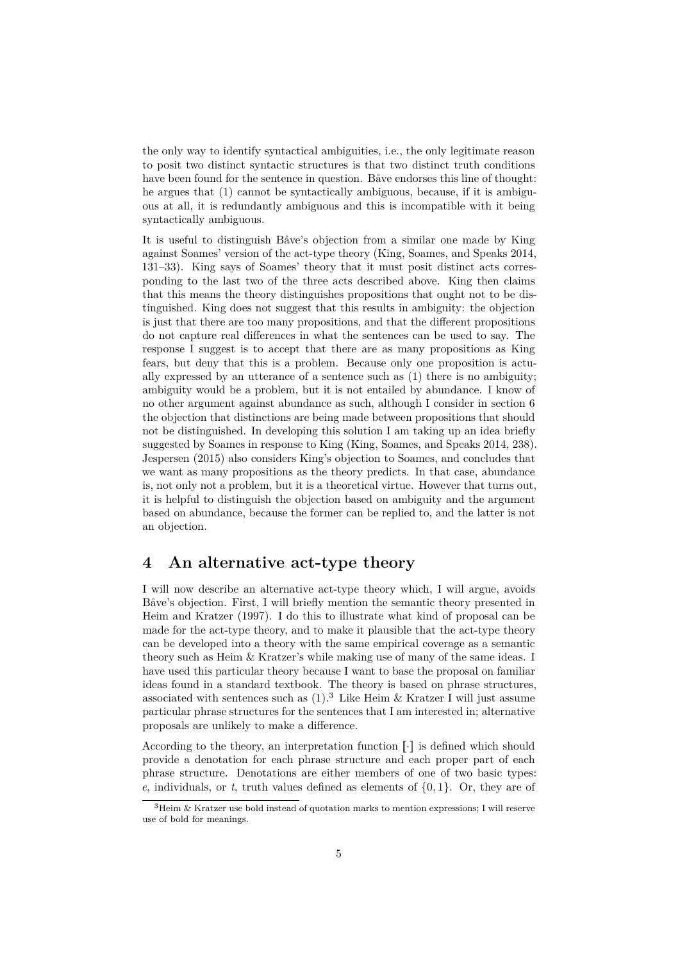the only way to identify syntactical ambiguities, i.e., the only legitimate reason to posit two distinct syntactic structures is that two distinct truth conditions have been found for the sentence in question. Båve endorses this line of thought: he argues that (1) cannot be syntactically ambiguous, because, if it is ambiguous at all, it is redundantly ambiguous and this is incompatible with it being syntactically ambiguous.

It is useful to distinguish Båve's objection from a similar one made by King against Soames' version of the act-type theory (King, Soames, and Speaks 2014, 131–33). King says of Soames' theory that it must posit distinct acts corresponding to the last two of the three acts described above. King then claims that this means the theory distinguishes propositions that ought not to be distinguished. King does not suggest that this res[ults in ambiguity: the objection](#page-16-1) [is just t](#page-16-1)hat there are too many propositions, and that the different propositions do not capture real differences in what the sentences can be used to say. The response I suggest is to accept that there are as many propositions as King fears, but deny that this is a problem. Because only one proposition is actually expressed by an utterance of a sentence such as (1) there is no ambiguity; ambiguity would be a problem, but it is not entailed by abundance. I know of no other argument against abundance as such, although I consider in section 6 the objection that distinctions are being made between propositions that should not be distinguished. In developing this solution I am taking up an idea briefly suggested by Soames in response to King (King, Soames, and Speaks 2014, 238). Jespersen (2015) also considers King's objection to Soames, and concl[udes that](#page-11-0) we want as many propositions as the theory predicts. In that case, abundance is, not only not a problem, but it is a theoretical virtue. However that turns out, it is helpful to distinguish the objection [based on ambiguity and the argumen](#page-16-1)t based on a[bunda](#page-16-2)nce, because the former can be replied to, and the latter is not an objection.

#### **4 An alternative act-type theory**

<span id="page-4-0"></span>I will now describe an alternative act-type theory which, I will argue, avoids Båve's objection. First, I will briefly mention the semantic theory presented in Heim and Kratzer (1997). I do this to illustrate what kind of proposal can be made for the act-type theory, and to make it plausible that the act-type theory can be developed into a theory with the same empirical coverage as a semantic theory such as Heim & Kratzer's while making use of many of the same ideas. I have used this parti[cular](#page-16-3) theory because I want to base the proposal on familiar ideas found in a standard textbook. The theory is based on phrase structures, associated with sentences such as  $(1)$ .<sup>3</sup> Like Heim & Kratzer I will just assume particular phrase structures for the sentences that I am interested in; alternative proposals are unlikely to make a difference.

According to the theory, [a](#page-4-1)n interpretation function  $\llbracket \cdot \rrbracket$  is defined which should provide a denotation for each phrase structure and each proper part of each phrase structure. Denotations are either members of one of two basic types: *e*, individuals, or *t*, truth values defined as elements of {0, 1}. Or, they are of

<span id="page-4-1"></span> $3$ Heim & Kratzer use bold instead of quotation marks to mention expressions; I will reserve use of bold for meanings.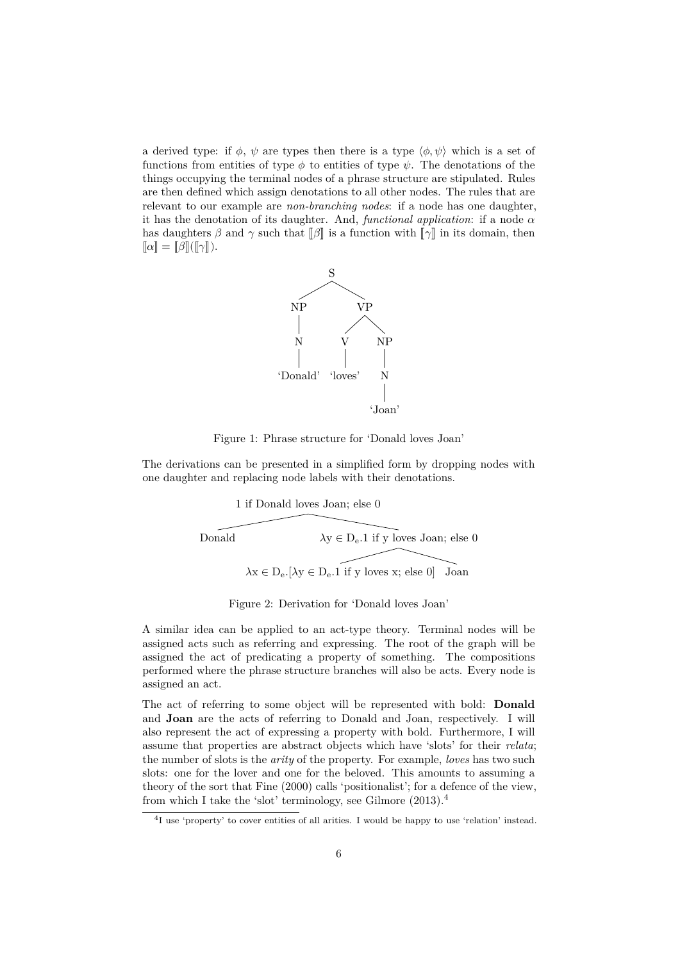a derived type: if  $\phi$ ,  $\psi$  are types then there is a type  $\langle \phi, \psi \rangle$  which is a set of functions from entities of type  $\phi$  to entities of type  $\psi$ . The denotations of the things occupying the terminal nodes of a phrase structure are stipulated. Rules are then defined which assign denotations to all other nodes. The rules that are relevant to our example are *non-branching nodes*: if a node has one daughter, it has the denotation of its daughter. And, *functional application*: if a node  $\alpha$ has daughters  $\beta$  and  $\gamma$  such that  $\|\beta\|$  is a function with  $\|\gamma\|$  in its domain, then  $\llbracket \alpha \rrbracket = \llbracket \beta \rrbracket(\llbracket \gamma \rrbracket).$ 



Figure 1: Phrase structure for 'Donald loves Joan'

The derivations can be presented in a simplified form by dropping nodes with one daughter and replacing node labels with their denotations.

> <span id="page-5-0"></span>1 if Donald loves Joan; else 0  $\lambda y \in D_e.1$  if  $\widehat{y}$  loves Joan; else  $0$  $\lambda x \in D_e$ .  $[\lambda y \in D_e.1]$  if y loves x; else 0 Joan Donald

<span id="page-5-1"></span>Figure 2: Derivation for 'Donald loves Joan'

A similar idea can be applied to an act-type theory. Terminal nodes will be assigned acts such as referring and expressing. The root of the graph will be assigned the act of predicating a property of something. The compositions performed where the phrase structure branches will also be acts. Every node is assigned an act.

The act of referring to some object will be represented with bold: **Donald** and **Joan** are the acts of referring to Donald and Joan, respectively. I will also represent the act of expressing a property with bold. Furthermore, I will assume that properties are abstract objects which have 'slots' for their *relata*; the number of slots is the *arity* of the property. For example, *loves* has two such slots: one for the lover and one for the beloved. This amounts to assuming a theory of the sort that Fine (2000) calls 'positionalist'; for a defence of the view, from which I take the 'slot' terminology, see Gilmore (2013).<sup>4</sup>

<sup>&</sup>lt;sup>4</sup>I use 'property' to cover entities of all arities. I would be happy to use 'relation' instead.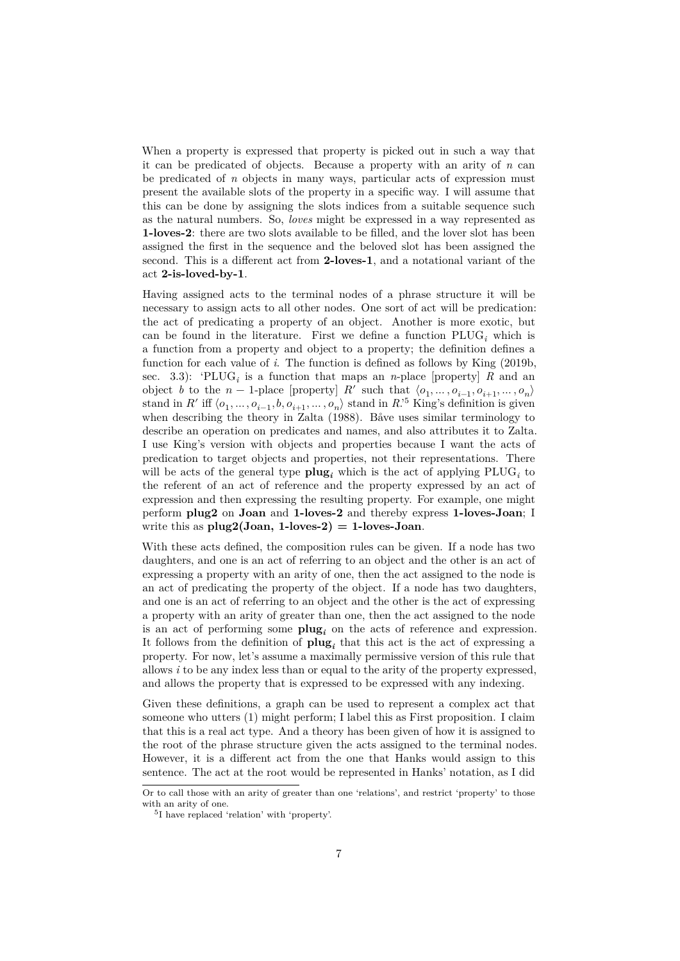When a property is expressed that property is picked out in such a way that it can be predicated of objects. Because a property with an arity of *n* can be predicated of *n* objects in many ways, particular acts of expression must present the available slots of the property in a specific way. I will assume that this can be done by assigning the slots indices from a suitable sequence such as the natural numbers. So, *loves* might be expressed in a way represented as **1-loves-2**: there are two slots available to be filled, and the lover slot has been assigned the first in the sequence and the beloved slot has been assigned the second. This is a different act from **2-loves-1**, and a notational variant of the act **2-is-loved-by-1**.

Having assigned acts to the terminal nodes of a phrase structure it will be necessary to assign acts to all other nodes. One sort of act will be predication: the act of predicating a property of an object. Another is more exotic, but can be found in the literature. First we define a function  $PLUG_i$  which is a function from a property and object to a property; the definition defines a function for each value of *i*. The function is defined as follows by King (2019b, sec. 3.3): 'PLUG<sub>i</sub> is a function that maps an *n*-place [property] *R* and an object *b* to the  $n-1$ -place [property]  $R'$  such that  $\langle o_1, \ldots, o_{i-1}, o_{i+1}, \ldots, o_n \rangle$ stand in R' iff  $\langle o_1, \ldots, o_{i-1}, b, o_{i+1}, \ldots, o_n \rangle$  stand in R<sup>'5</sup> King's definition is given when describing the theory in Zalta (1988). Båve uses similar terminol[ogy to](#page-16-4) [describe](#page-16-4) an operation on predicates and names, and also attributes it to Zalta. I use King's version with objects and properties because I want the acts of predication to target objects and properties, not th[ei](#page-6-0)r representations. There will be acts of the general type  $\text{plug}_i$  [whi](#page-17-1)ch is the act of applying  $\text{PLUG}_i$  to the referent of an act of reference and the property expressed by an act of expression and then expressing the resulting property. For example, one might perform **plug2** on **Joan** and **1-loves-2** and thereby express **1-loves-Joan**; I write this as  $plug2(Joan, 1-loves-2) = 1-loves-Joan$ .

With these acts defined, the composition rules can be given. If a node has two daughters, and one is an act of referring to an object and the other is an act of expressing a property with an arity of one, then the act assigned to the node is an act of predicating the property of the object. If a node has two daughters, and one is an act of referring to an object and the other is the act of expressing a property with an arity of greater than one, then the act assigned to the node is an act of performing some **plug***<sup>i</sup>* on the acts of reference and expression. It follows from the definition of  $\mathbf{plug}_i$  that this act is the act of expressing a property. For now, let's assume a maximally permissive version of this rule that allows *i* to be any index less than or equal to the arity of the property expressed, and allows the property that is expressed to be expressed with any indexing.

Given these definitions, a graph can be used to represent a complex act that someone who utters (1) might perform; I label this as First proposition. I claim that this is a real act type. And a theory has been given of how it is assigned to the root of the phrase structure given the acts assigned to the terminal nodes. However, it is a different act from the one that Hanks would assign to this sentence. The act at the root would be represented in Hanks' notation, as I did

Or to call those with an arity of greater than one 'relations', and restrict 'property' to those with an arity of one.

<span id="page-6-0"></span><sup>5</sup> I have replaced 'relation' with 'property'.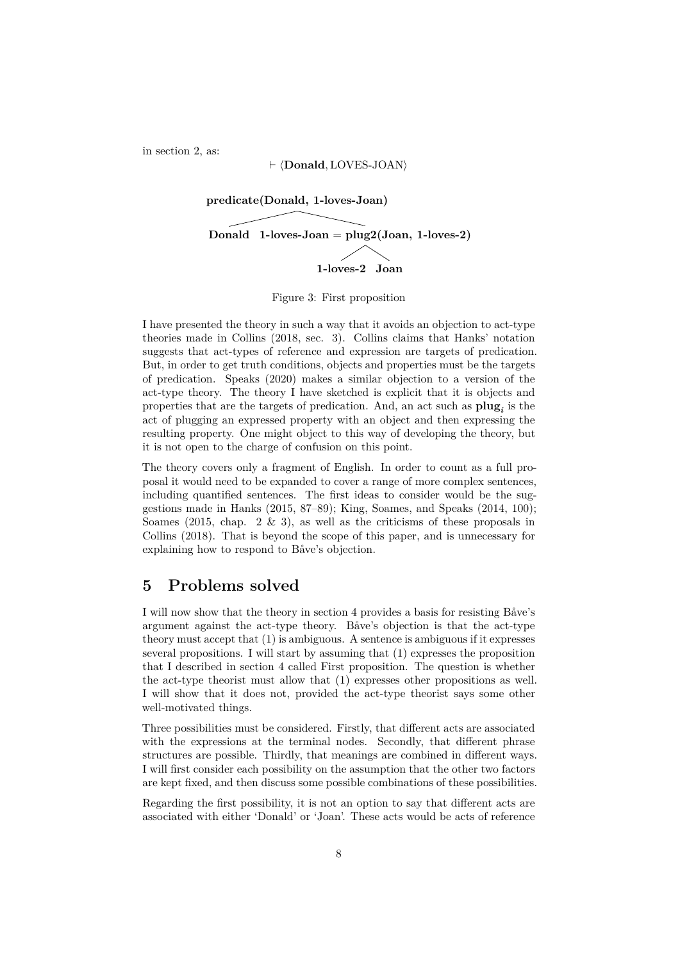in section 2, as:

#### ⊢ ⟨**Donald**, LOVES-JOAN⟩



Figure 3: First proposition

I have presented the theory in such a way that it avoids an objection to act-type theories made in Collins (2018, sec. 3). Collins claims that Hanks' notation suggests that act-types of reference and expression are targets of predication. But, in order to get truth conditions, objects and properties must be the targets of predication. Speaks (2020) makes a similar objection to a version of the act-type theory. The the[ory I have ske](#page-16-5)tched is explicit that it is objects and properties that are the targets of predication. And, an act such as **plug***<sup>i</sup>* is the act of plugging an expressed property with an object and then expressing the resulting property. One [might](#page-17-2) object to this way of developing the theory, but it is not open to the charge of confusion on this point.

The theory covers only a fragment of English. In order to count as a full proposal it would need to be expanded to cover a range of more complex sentences, including quantified sentences. The first ideas to consider would be the suggestions made in Hanks (2015, 87–89); King, Soames, and Speaks (2014, 100); Soames (2015, chap. 2  $\&$  3), as well as the criticisms of these proposals in Collins (2018). That is beyond the scope of this paper, and is unnecessary for explaining how to respond to Båve's objection.

## **5 P[rob](#page-16-5)[lems so](#page-17-0)lved**

<span id="page-7-0"></span>I will now show that the theory in section 4 provides a basis for resisting Båve's argument against the act-type theory. Båve's objection is that the act-type theory must accept that (1) is ambiguous. A sentence is ambiguous if it expresses several propositions. I will start by assuming that (1) expresses the proposition that I described in section 4 calle[d First pr](#page-4-0)oposition. The question is whether the act-type theorist must allow that (1) expresses other propositions as well. I will show that it does not, provided the act-type theorist says some other well-motivated things.

Three possibilities [must be co](#page-4-0)nsidered. Firstly, that different acts are associated with the expressions at the terminal nodes. Secondly, that different phrase structures are possible. Thirdly, that meanings are combined in different ways. I will first consider each possibility on the assumption that the other two factors are kept fixed, and then discuss some possible combinations of these possibilities.

Regarding the first possibility, it is not an option to say that different acts are associated with either 'Donald' or 'Joan'. These acts would be acts of reference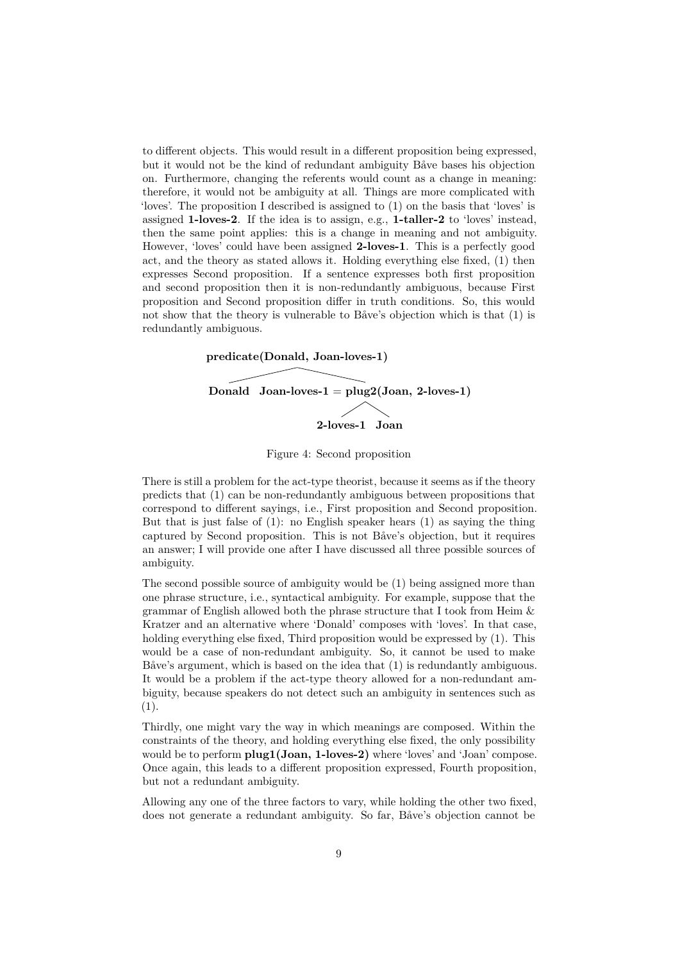to different objects. This would result in a different proposition being expressed, but it would not be the kind of redundant ambiguity Båve bases his objection on. Furthermore, changing the referents would count as a change in meaning: therefore, it would not be ambiguity at all. Things are more complicated with 'loves'. The proposition I described is assigned to (1) on the basis that 'loves' is assigned **1-loves-2**. If the idea is to assign, e.g., **1-taller-2** to 'loves' instead, then the same point applies: this is a change in meaning and not ambiguity. However, 'loves' could have been assigned **2-loves-1**. This is a perfectly good act, and the theory as stated allows it. Holding everything else fixed, (1) then expresses Second proposition. If a sentence expresses both first proposition and second proposition then it is non-redundantly ambiguous, because First proposition and Second proposition differ in truth conditions. So, this would not show that the theory is vulnerable to Båve's objection which is that (1) is redundantly ambiguous.



<span id="page-8-0"></span>Figure 4: Second proposition

There is still a problem for the act-type theorist, because it seems as if the theory predicts that (1) can be non-redundantly ambiguous between propositions that correspond to different sayings, i.e., First proposition and Second proposition. But that is just false of  $(1)$ : no English speaker hears  $(1)$  as saying the thing captured by Second proposition. This is not Båve's objection, but it requires an answer; I will provide one after I have discussed all three possible sources of ambiguity.

The second possible source of ambiguity would be (1) being assigned more than one phrase structure, i.e., syntactical ambiguity. For example, suppose that the grammar of English allowed both the phrase structure that I took from Heim  $\&$ Kratzer and an alternative where 'Donald' composes with 'loves'. In that case, holding everything else fixed, Third proposition would be expressed by (1). This would be a case of non-redundant ambiguity. So, it cannot be used to make Båve's argument, which is based on the idea that (1) is redundantly ambiguous. It would be a problem if the act-type theory allowed for a non-redundant ambiguity, because speakers do not detect such an ambiguity in sentences such as (1).

Thirdly, one might vary the way in which meanings are composed. Within the constraints of the theory, and holding everything else fixed, the only possibility would be to perform **plug1(Joan, 1-loves-2)** where 'loves' and 'Joan' compose. Once again, this leads to a different proposition expressed, Fourth proposition, but not a redundant ambiguity.

Allowing any one of the three factors to vary, while holding the other two fixed, does not generate a redundant ambiguity. So far, Båve's objection cannot be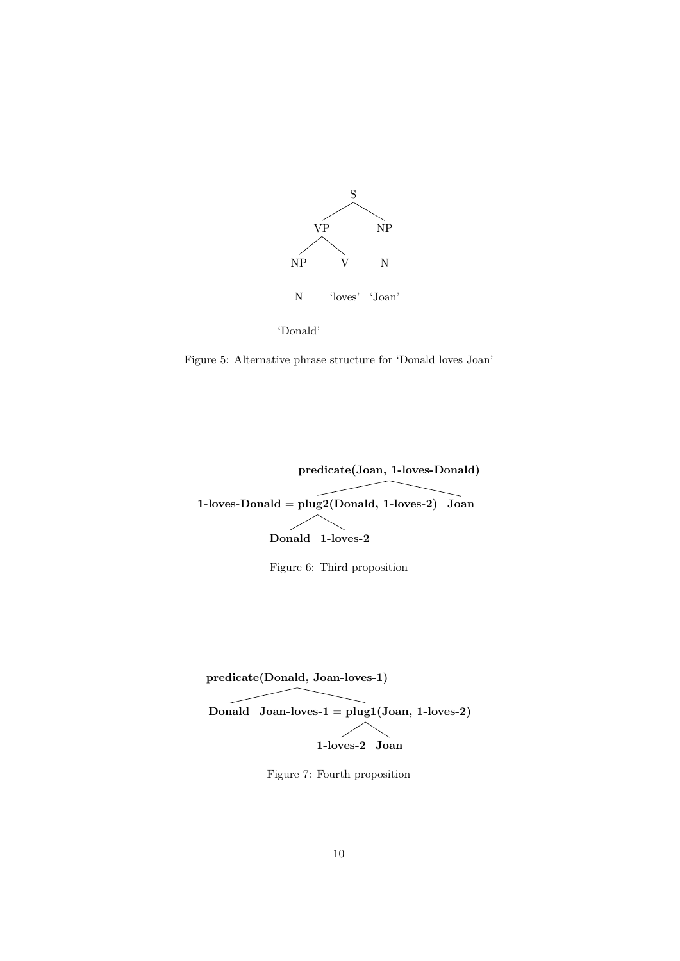

<span id="page-9-0"></span>Figure 5: Alternative phrase structure for 'Donald loves Joan'



<span id="page-9-1"></span>Figure 6: Third proposition



 $\bm{\mathrm{Donald}} \ \ \mathrm{Joan-loves\text{-}1} = \text{plug1}(\mathrm{Joan},\, \mathrm{1\text{-}loves\text{-}2})$ 1-loves-2 Joan

<span id="page-9-2"></span>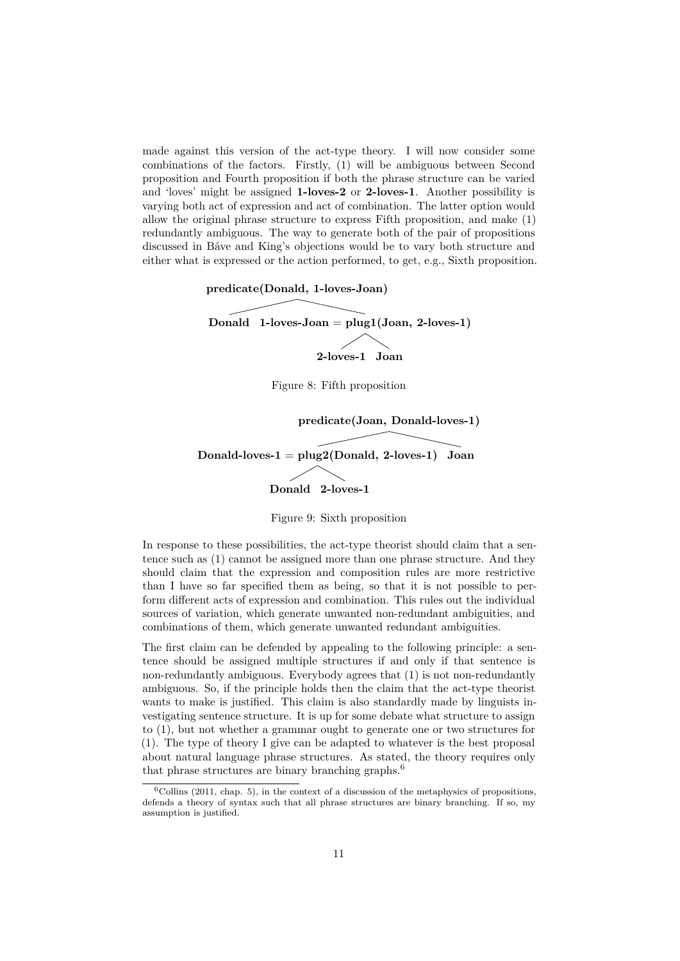made against this version of the act-type theory. I will now consider some combinations of the factors. Firstly, (1) will be ambiguous between Second proposition and Fourth proposition if both the phrase structure can be varied and 'loves' might be assigned **1-loves-2** or **2-loves-1**. Another possibility is varying both act of expression and act of combination. The latter option would allow the original phrase structure to express Fifth proposition, and make (1) redundantly ambiguous. The way to generate both of the pair of propositions discussed in Båve and King's objections would be to vary both structure and either what is expressed or the action performed, to get, e.g., Sixth proposition.



<span id="page-10-1"></span><span id="page-10-0"></span>Figure 9: Sixth proposition

In response to these possibilities, the act-type theorist should claim that a sentence such as (1) cannot be assigned more than one phrase structure. And they should claim that the expression and composition rules are more restrictive than I have so far specified them as being, so that it is not possible to perform different acts of expression and combination. This rules out the individual sources of variation, which generate unwanted non-redundant ambiguities, and combinations of them, which generate unwanted redundant ambiguities.

The first claim can be defended by appealing to the following principle: a sentence should be assigned multiple structures if and only if that sentence is non-redundantly ambiguous. Everybody agrees that (1) is not non-redundantly ambiguous. So, if the principle holds then the claim that the act-type theorist wants to make is justified. This claim is also standardly made by linguists investigating sentence structure. It is up for some debate what structure to assign to (1), but not whether a grammar ought to generate one or two structures for (1). The type of theory I give can be adapted to whatever is the best proposal about natural language phrase structures. As stated, the theory requires only that phrase structures are binary branching graphs.<sup>6</sup>

 $6$ Collins (2011, chap. 5), in the context of a discussion of the metaphysics of propositions, defends a theory of syntax such that all phrase structures are binary branching. If so, my assumption is justified.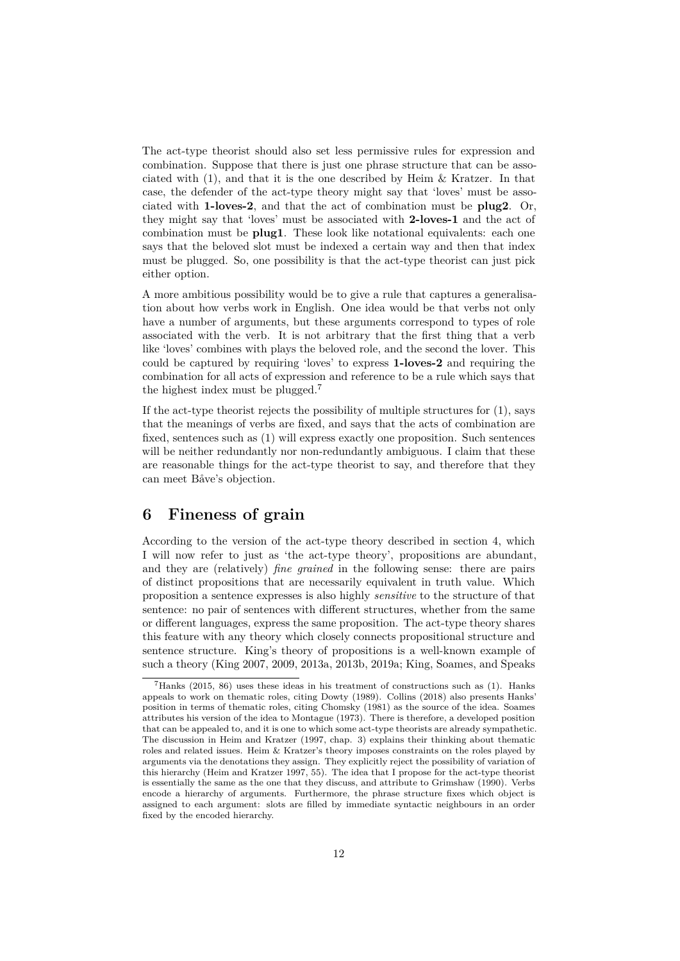The act-type theorist should also set less permissive rules for expression and combination. Suppose that there is just one phrase structure that can be associated with (1), and that it is the one described by Heim & Kratzer. In that case, the defender of the act-type theory might say that 'loves' must be associated with **1-loves-2**, and that the act of combination must be **plug2**. Or, they might say that 'loves' must be associated with **2-loves-1** and the act of combination must be **plug1**. These look like notational equivalents: each one says that the beloved slot must be indexed a certain way and then that index must be plugged. So, one possibility is that the act-type theorist can just pick either option.

A more ambitious possibility would be to give a rule that captures a generalisation about how verbs work in English. One idea would be that verbs not only have a number of arguments, but these arguments correspond to types of role associated with the verb. It is not arbitrary that the first thing that a verb like 'loves' combines with plays the beloved role, and the second the lover. This could be captured by requiring 'loves' to express **1-loves-2** and requiring the combination for all acts of expression and reference to be a rule which says that the highest index must be plugged.<sup>7</sup>

If the act-type theorist rejects the possibility of multiple structures for (1), says that the meanings of verbs are fixed, and says that the acts of combination are fixed, sentences such as (1) will exp[re](#page-11-1)ss exactly one proposition. Such sentences will be neither redundantly nor non-redundantly ambiguous. I claim that these are reasonable things for the act-type theorist to say, and therefore that they can meet Båve's objection.

#### **6 Fineness of grain**

<span id="page-11-0"></span>According to the version of the act-type theory described in section 4, which I will now refer to just as 'the act-type theory', propositions are abundant, and they are (relatively) *fine grained* in the following sense: there are pairs of distinct propositions that are necessarily equivalent in truth value. Which proposition a sentence expresses is also highly *sensitive* to the [structure](#page-4-0) of that sentence: no pair of sentences with different structures, whether from the same or different languages, express the same proposition. The act-type theory shares this feature with any theory which closely connects propositional structure and sentence structure. King's theory of propositions is a well-known example of such a theory (King 2007, 2009, 2013a, 2013b, 2019a; King, Soames, and Speaks

<span id="page-11-1"></span> $7$ Hanks (2015, 86) uses these ideas in his treatment of constructions such as (1). Hanks appeals to work on thematic roles, citing Dowty (1989). Collins (2018) also presents Hanks' position in terms of thematic roles, citing Chomsky (1981) as the source of the idea. Soames attributes his ver[sion of the id](#page-16-6)[ea to M](#page-16-7)[ontagu](#page-16-8)e [\(1973\).](#page-16-9) [There i](#page-16-10)s [therefore, a developed position](#page-16-1) that can be appealed to, and it is one to which some act-type theorists are already sympathetic. T[he discussion in He](#page-16-1)im and Kratzer (1997, chap. 3) explains their thinking about thematic roles and related issues. Heim & Kratzer's theory [impo](#page-16-11)ses constra[ints o](#page-16-5)n the roles played by arguments via the denotations they assign. They expl[icitly](#page-15-3) reject the possibility of variation of this hierarchy (Heim and Kratzer 1997, 55). T[he ide](#page-16-12)a that I propose for the act-type theorist is essentially the same as the one that they discuss, and attribute to Grimshaw (1990). Verbs encode a hierarchy of arguments. F[urthermore, th](#page-16-3)e phrase structure fixes which object is assigned to each argument: slots are filled by immediate syntactic neighbours in an order fixed by the encoded hierarchy.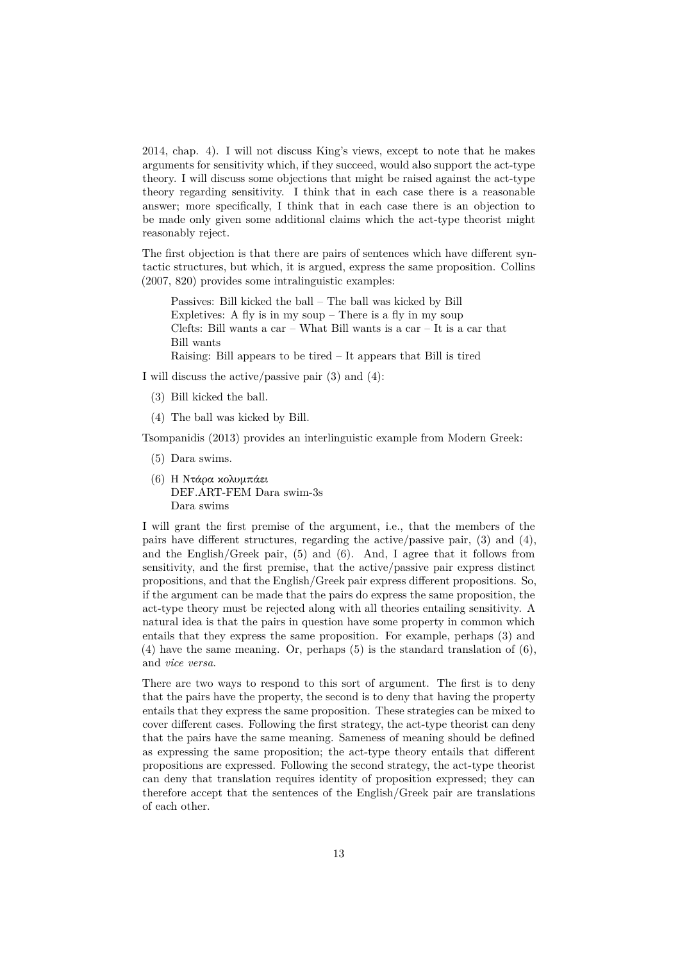2014, chap. 4). I will not discuss King's views, except to note that he makes arguments for sensitivity which, if they succeed, would also support the act-type theory. I will discuss some objections that might be raised against the act-type theory regarding sensitivity. I think that in each case there is a reasonable answer; more specifically, I think that in each case there is an objection to be made only given some additional claims which the act-type theorist might reasonably reject.

The first objection is that there are pairs of sentences which have different syntactic structures, but which, it is argued, express the same proposition. Collins (2007, 820) provides some intralinguistic examples:

Passives: Bill kicked the ball – The ball was kicked by Bill Expletives: A fly is in my soup – There is a fly in my soup Clefts: Bill wants a car – What Bill wants is a car – It is a car that [Bill](#page-15-4) wants

Raising: Bill appears to be tired – It appears that Bill is tired

I will discuss the active/passive pair (3) and (4):

- (3) Bill kicked the ball.
- (4) The ball was kicked by Bill.

Tsompanidis (2013) provides an interlinguistic example from Modern Greek:

- (5) Dara swims.
- (6) Η Ντάρα κολυμπάει DEF.A[RT-FE](#page-17-3)M Dara swim-3s Dara swims

I will grant the first premise of the argument, i.e., that the members of the pairs have different structures, regarding the active/passive pair, (3) and (4), and the English/Greek pair,  $(5)$  and  $(6)$ . And, I agree that it follows from sensitivity, and the first premise, that the active/passive pair express distinct propositions, and that the English/Greek pair express different propositions. So, if the argument can be made that the pairs do express the same proposition, the act-type theory must be rejected along with all theories entailing sensitivity. A natural idea is that the pairs in question have some property in common which entails that they express the same proposition. For example, perhaps (3) and  $(4)$  have the same meaning. Or, perhaps  $(5)$  is the standard translation of  $(6)$ , and *vice versa*.

There are two ways to respond to this sort of argument. The first is to deny that the pairs have the property, the second is to deny that having the property entails that they express the same proposition. These strategies can be mixed to cover different cases. Following the first strategy, the act-type theorist can deny that the pairs have the same meaning. Sameness of meaning should be defined as expressing the same proposition; the act-type theory entails that different propositions are expressed. Following the second strategy, the act-type theorist can deny that translation requires identity of proposition expressed; they can therefore accept that the sentences of the English/Greek pair are translations of each other.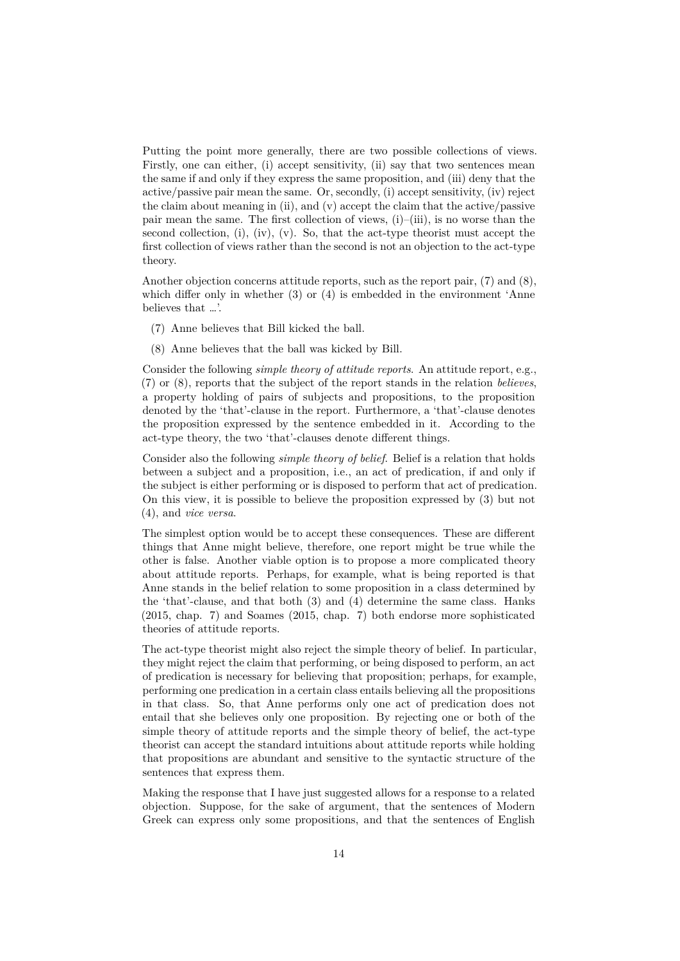Putting the point more generally, there are two possible collections of views. Firstly, one can either, (i) accept sensitivity, (ii) say that two sentences mean the same if and only if they express the same proposition, and (iii) deny that the active/passive pair mean the same. Or, secondly, (i) accept sensitivity, (iv) reject the claim about meaning in (ii), and (v) accept the claim that the active/passive pair mean the same. The first collection of views,  $(i)$ – $(iii)$ , is no worse than the second collection,  $(i)$ ,  $(iv)$ ,  $(v)$ . So, that the act-type theorist must accept the first collection of views rather than the second is not an objection to the act-type theory.

Another objection concerns attitude reports, such as the report pair, (7) and (8), which differ only in whether  $(3)$  or  $(4)$  is embedded in the environment 'Anne believes that …'.

- (7) Anne believes that Bill kicked the ball.
- (8) Anne believes that the ball was kicked by Bill.

Consider the following *simple theory of attitude reports*. An attitude report, e.g., (7) or (8), reports that the subject of the report stands in the relation *believes*, a property holding of pairs of subjects and propositions, to the proposition denoted by the 'that'-clause in the report. Furthermore, a 'that'-clause denotes the proposition expressed by the sentence embedded in it. According to the act-type theory, the two 'that'-clauses denote different things.

Consider also the following *simple theory of belief*. Belief is a relation that holds between a subject and a proposition, i.e., an act of predication, if and only if the subject is either performing or is disposed to perform that act of predication. On this view, it is possible to believe the proposition expressed by (3) but not (4), and *vice versa*.

The simplest option would be to accept these consequences. These are different things that Anne might believe, therefore, one report might be true while the other is false. Another viable option is to propose a more complicated theory about attitude reports. Perhaps, for example, what is being reported is that Anne stands in the belief relation to some proposition in a class determined by the 'that'-clause, and that both (3) and (4) determine the same class. Hanks (2015, chap. 7) and Soames (2015, chap. 7) both endorse more sophisticated theories of attitude reports.

The act-type theorist might also reject the simple theory of belief. In particular, they might reject the claim that performing, or being disposed to perform, an act [of predication i](#page-16-0)s necessary for [believing that](#page-17-0) proposition; perhaps, for example, performing one predication in a certain class entails believing all the propositions in that class. So, that Anne performs only one act of predication does not entail that she believes only one proposition. By rejecting one or both of the simple theory of attitude reports and the simple theory of belief, the act-type theorist can accept the standard intuitions about attitude reports while holding that propositions are abundant and sensitive to the syntactic structure of the sentences that express them.

Making the response that I have just suggested allows for a response to a related objection. Suppose, for the sake of argument, that the sentences of Modern Greek can express only some propositions, and that the sentences of English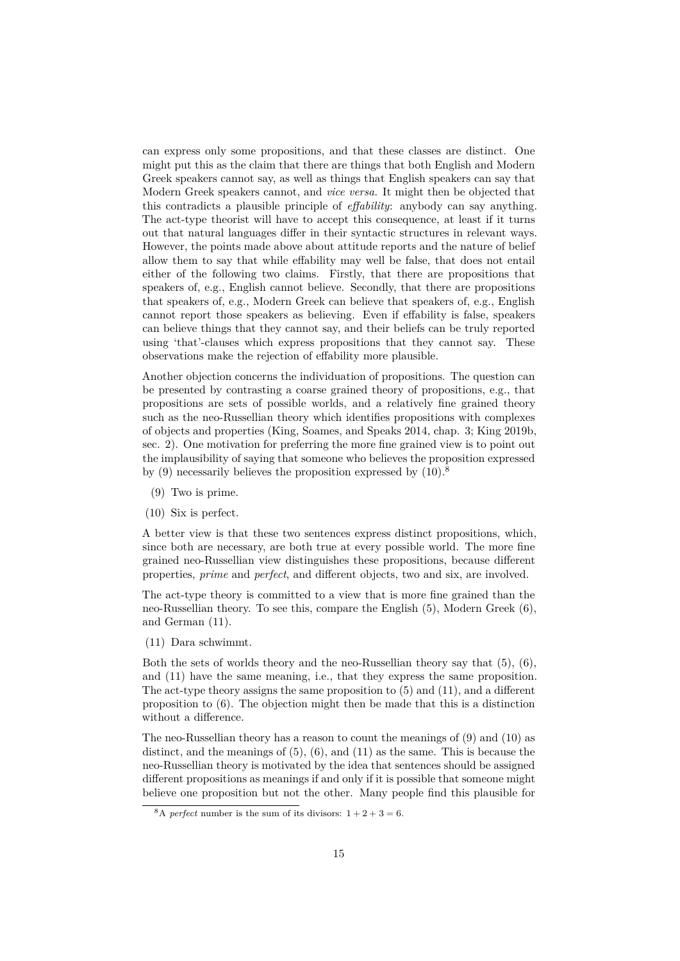can express only some propositions, and that these classes are distinct. One might put this as the claim that there are things that both English and Modern Greek speakers cannot say, as well as things that English speakers can say that Modern Greek speakers cannot, and *vice versa*. It might then be objected that this contradicts a plausible principle of *effability*: anybody can say anything. The act-type theorist will have to accept this consequence, at least if it turns out that natural languages differ in their syntactic structures in relevant ways. However, the points made above about attitude reports and the nature of belief allow them to say that while effability may well be false, that does not entail either of the following two claims. Firstly, that there are propositions that speakers of, e.g., English cannot believe. Secondly, that there are propositions that speakers of, e.g., Modern Greek can believe that speakers of, e.g., English cannot report those speakers as believing. Even if effability is false, speakers can believe things that they cannot say, and their beliefs can be truly reported using 'that'-clauses which express propositions that they cannot say. These observations make the rejection of effability more plausible.

Another objection concerns the individuation of propositions. The question can be presented by contrasting a coarse grained theory of propositions, e.g., that propositions are sets of possible worlds, and a relatively fine grained theory such as the neo-Russellian theory which identifies propositions with complexes of objects and properties (King, Soames, and Speaks 2014, chap. 3; King 2019b, sec. 2). One motivation for preferring the more fine grained view is to point out the implausibility of saying that someone who believes the proposition expressed by (9) necessarily believes the proposition expressed by  $(10).8$ 

- [\(9\)](#page-16-4) Two is prime.
- (10) Six is perfect.

A better view is that these two sentences express distinct p[ro](#page-14-0)positions, which, since both are necessary, are both true at every possible world. The more fine grained neo-Russellian view distinguishes these propositions, because different properties, *prime* and *perfect*, and different objects, two and six, are involved.

The act-type theory is committed to a view that is more fine grained than the neo-Russellian theory. To see this, compare the English (5), Modern Greek (6), and German (11).

(11) Dara schwimmt.

Both the sets of worlds theory and the neo-Russellian theory say that (5), (6), and (11) have the same meaning, i.e., that they express the same proposition. The act-type theory assigns the same proposition to (5) and (11), and a different proposition to (6). The objection might then be made that this is a distinction without a difference.

The neo-Russellian theory has a reason to count the meanings of (9) and (10) as distinct, and the meanings of  $(5)$ ,  $(6)$ , and  $(11)$  as the same. This is because the neo-Russellian theory is motivated by the idea that sentences should be assigned different propositions as meanings if and only if it is possible that someone might believe one proposition but not the other. Many people find this plausible for

<span id="page-14-0"></span><sup>&</sup>lt;sup>8</sup>A *perfect* number is the sum of its divisors:  $1 + 2 + 3 = 6$ .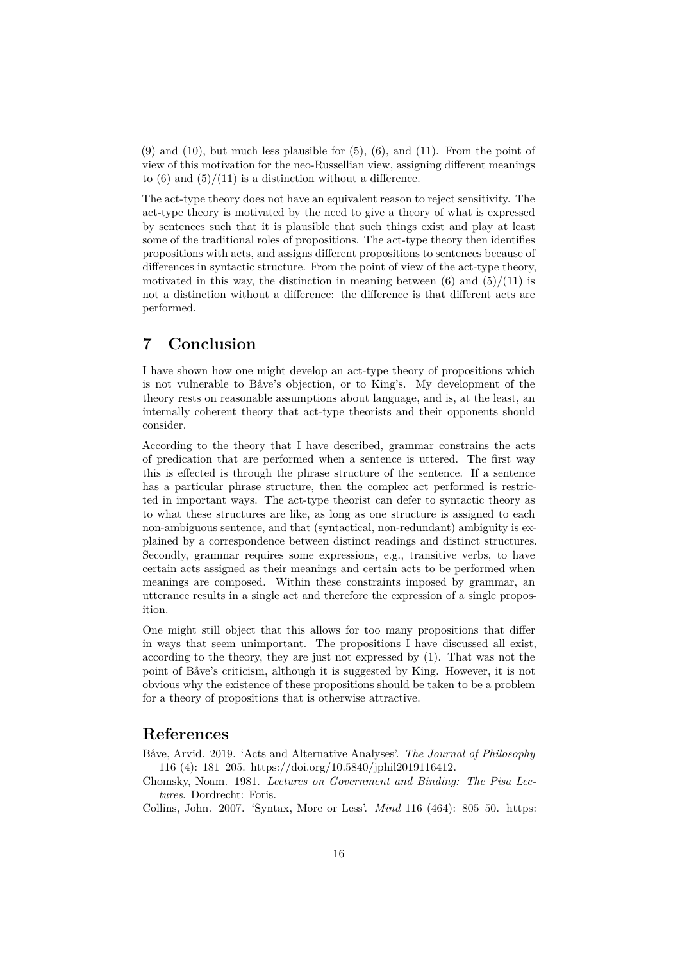$(9)$  and  $(10)$ , but much less plausible for  $(5)$ ,  $(6)$ , and  $(11)$ . From the point of view of this motivation for the neo-Russellian view, assigning different meanings to  $(6)$  and  $(5)/(11)$  is a distinction without a difference.

The act-type theory does not have an equivalent reason to reject sensitivity. The act-type theory is motivated by the need to give a theory of what is expressed by sentences such that it is plausible that such things exist and play at least some of the traditional roles of propositions. The act-type theory then identifies propositions with acts, and assigns different propositions to sentences because of differences in syntactic structure. From the point of view of the act-type theory, motivated in this way, the distinction in meaning between  $(6)$  and  $(5)/(11)$  is not a distinction without a difference: the difference is that different acts are performed.

## **7 Conclusion**

<span id="page-15-0"></span>I have shown how one might develop an act-type theory of propositions which is not vulnerable to Båve's objection, or to King's. My development of the theory rests on reasonable assumptions about language, and is, at the least, an internally coherent theory that act-type theorists and their opponents should consider.

According to the theory that I have described, grammar constrains the acts of predication that are performed when a sentence is uttered. The first way this is effected is through the phrase structure of the sentence. If a sentence has a particular phrase structure, then the complex act performed is restricted in important ways. The act-type theorist can defer to syntactic theory as to what these structures are like, as long as one structure is assigned to each non-ambiguous sentence, and that (syntactical, non-redundant) ambiguity is explained by a correspondence between distinct readings and distinct structures. Secondly, grammar requires some expressions, e.g., transitive verbs, to have certain acts assigned as their meanings and certain acts to be performed when meanings are composed. Within these constraints imposed by grammar, an utterance results in a single act and therefore the expression of a single proposition.

One might still object that this allows for too many propositions that differ in ways that seem unimportant. The propositions I have discussed all exist, according to the theory, they are just not expressed by (1). That was not the point of Båve's criticism, although it is suggested by King. However, it is not obvious why the existence of these propositions should be taken to be a problem for a theory of propositions that is otherwise attractive.

#### **References**

- Båve, Arvid. 2019. 'Acts and Alternative Analyses'. *The Journal of Philosophy* 116 (4): 181–205. https://doi.org/10.5840/jphil2019116412.
- <span id="page-15-1"></span>Chomsky, Noam. 1981. *Lectures on Government and Binding: The Pisa Lectures*. Dordrecht: Foris.
- <span id="page-15-4"></span><span id="page-15-3"></span><span id="page-15-2"></span>Collins, John. 2007. 'Syntax, More or Less'. *Mind* 116 (464): 805–50. https: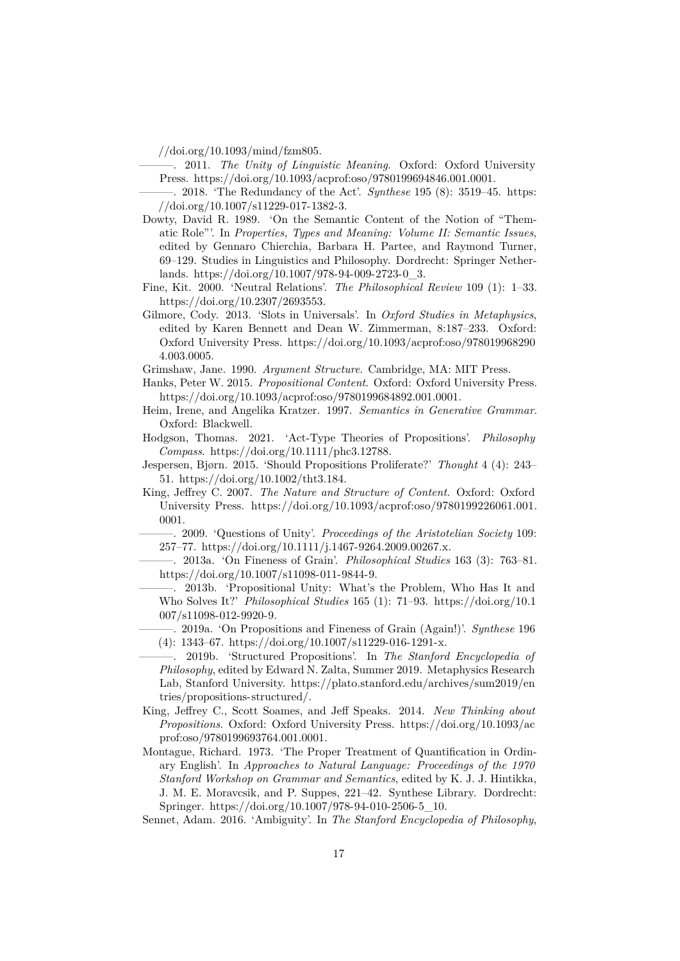//doi.org/10.1093/mind/fzm805.

- ———. 2011. *The Unity of Linguistic Meaning*. Oxford: Oxford University Press. https://doi.org/10.1093/acprof:oso/9780199694846.001.0001.
- ———. 2018. 'The Redundancy of the Act'. *Synthese* 195 (8): 3519–45. https: [//doi.org/10.1007/s11229-017-13](https://doi.org/10.1093/mind/fzm805)82-3.
- <span id="page-16-5"></span>Dowty, David R. 1989. 'On the Semantic Content of the Notion of "Thematic Role"'. In *[Properties, Types and Meaning: Volume II: Semanti](https://doi.org/10.1093/acprof:oso/9780199694846.001.0001)c Issues*, edited by Gennaro Chierchia, Barbara H. Partee, and Raymond [Turner,](https://doi.org/10.1007/s11229-017-1382-3) [69–129. Studies in Linguistics and Ph](https://doi.org/10.1007/s11229-017-1382-3)ilosophy. Dordrecht: Springer Netherlands. https://doi.org/10.1007/978-94-009-2723-0\_3.
- <span id="page-16-11"></span>Fine, Kit. 2000. 'Neutral Relations'. *The Philosophical Review* 109 (1): 1–33. https://doi.org/10.2307/2693553.
- Gilmore, Cody. 2013. 'Slots in Universals'. In *Oxford Studies in Metaphysics*, edited [by Karen Bennett and Dean W. Zimmerman](https://doi.org/10.1007/978-94-009-2723-0_3), 8:187–233. Oxford: Oxford University Press. https://doi.org/10.1093/acprof:oso/978019968290 [4.003.0005.](https://doi.org/10.2307/2693553)
- Grimshaw, Jane. 1990. *Argument Structure*. Cambridge, MA: MIT Press.
- Hanks, Peter W. 2015. *Propositional Content*. Oxford: Oxford University Press. https://doi.org/10.1093/[acprof:oso/9780199684892.001.0001.](https://doi.org/10.1093/acprof:oso/9780199682904.003.0005)
- He[im, Irene, a](https://doi.org/10.1093/acprof:oso/9780199682904.003.0005)nd Angelika Kratzer. 1997. *Semantics in Generative Grammar*. Oxford: Blackwell.
- <span id="page-16-0"></span>Hodgson, Thomas. 2021. 'Act-Type Theories of Propositions'. *Philosophy Compass*. [https://doi.org/10.1111/phc3.12788.](https://doi.org/10.1093/acprof:oso/9780199684892.001.0001)
- <span id="page-16-3"></span>Jespersen, Bjørn. 2015. 'Should Propositions Proliferate?' *Thought* 4 (4): 243– 51. https://doi.org/10.1002/tht3.184.
- King, Jeffrey C. 2007. *The Nature and Structure of Content*. Oxford: Oxford University Press. [https://doi.org/10.1093/ac](https://doi.org/10.1111/phc3.12788)prof:oso/9780199226061.001. 0001.
- <span id="page-16-6"></span><span id="page-16-2"></span>———. [2009. 'Questions of Unity'.](https://doi.org/10.1002/tht3.184) *Proceedings of the Aristotelian Society* 109: 257–77. https://doi.org/10.1111/j.1467-9264.2009.00267.x.
- ———. 2013a. 'On Fineness of Grain'. *[Philosophical Studies](https://doi.org/10.1093/acprof:oso/9780199226061.001.0001)* 163 (3): 763–81. [https](https://doi.org/10.1093/acprof:oso/9780199226061.001.0001)://doi.org/10.1007/s11098-011-9844-9.
- <span id="page-16-7"></span>———. 2013b. 'Propositional Unity: What's the Problem, Who Has It and Who Solves It?' *[Philosophical Studies](https://doi.org/10.1111/j.1467-9264.2009.00267.x)* 165 (1): 71–93. https://doi.org/10.1 007/s11098-012-9920-9.
- <span id="page-16-9"></span><span id="page-16-8"></span>—[——. 2019a. 'On Propositions and Fineness](https://doi.org/10.1007/s11098-011-9844-9) of Grain (Again!)'. *Synthese* 196 (4): 1343–67. https://doi.org/10.1007/s11229-016-1291-x.
- ———. 2019b. 'Structured Propositions'. In *The Stanf[ord Encyclopedia of](https://doi.org/10.1007/s11098-012-9920-9) Philosophy*[, edited by Ed](https://doi.org/10.1007/s11098-012-9920-9)ward N. Zalta, Summer 2019. Metaphysics Research Lab, Stanford University. https://plato.stanford.edu/archives/sum2019/en tries/proposit[ions-structured/.](https://doi.org/10.1007/s11229-016-1291-x)
- <span id="page-16-10"></span><span id="page-16-4"></span>King, Jeffrey C., Scott Soames, and Jeff Speaks. 2014. *New Thinking about Propositions*. Oxford: Oxford University Press. https://doi.org/10.1093/ac prof:oso/9780199693764.0[01.0001.](https://plato.stanford.edu/archives/sum2019/entries/propositions-structured/)
- <span id="page-16-1"></span>Mo[ntague, Richard. 1973. 'The P](https://plato.stanford.edu/archives/sum2019/entries/propositions-structured/)roper Treatment of Quantification in Ordinary English'. In *Approaches to Natural Language: Proceedings of the 1970 Stanford Workshop on Grammar and Semantics*, [edited by K. J. J. Hintikka,](https://doi.org/10.1093/acprof:oso/9780199693764.001.0001) [J. M. E. Moravcsik, and P. Supp](https://doi.org/10.1093/acprof:oso/9780199693764.001.0001)es, 221–42. Synthese Library. Dordrecht: Springer. https://doi.org/10.1007/978-94-010-2506-5\_10.

<span id="page-16-12"></span>Sennet, Adam. 2016. 'Ambiguity'. In *The Stanford Encyclopedia of Philosophy*,